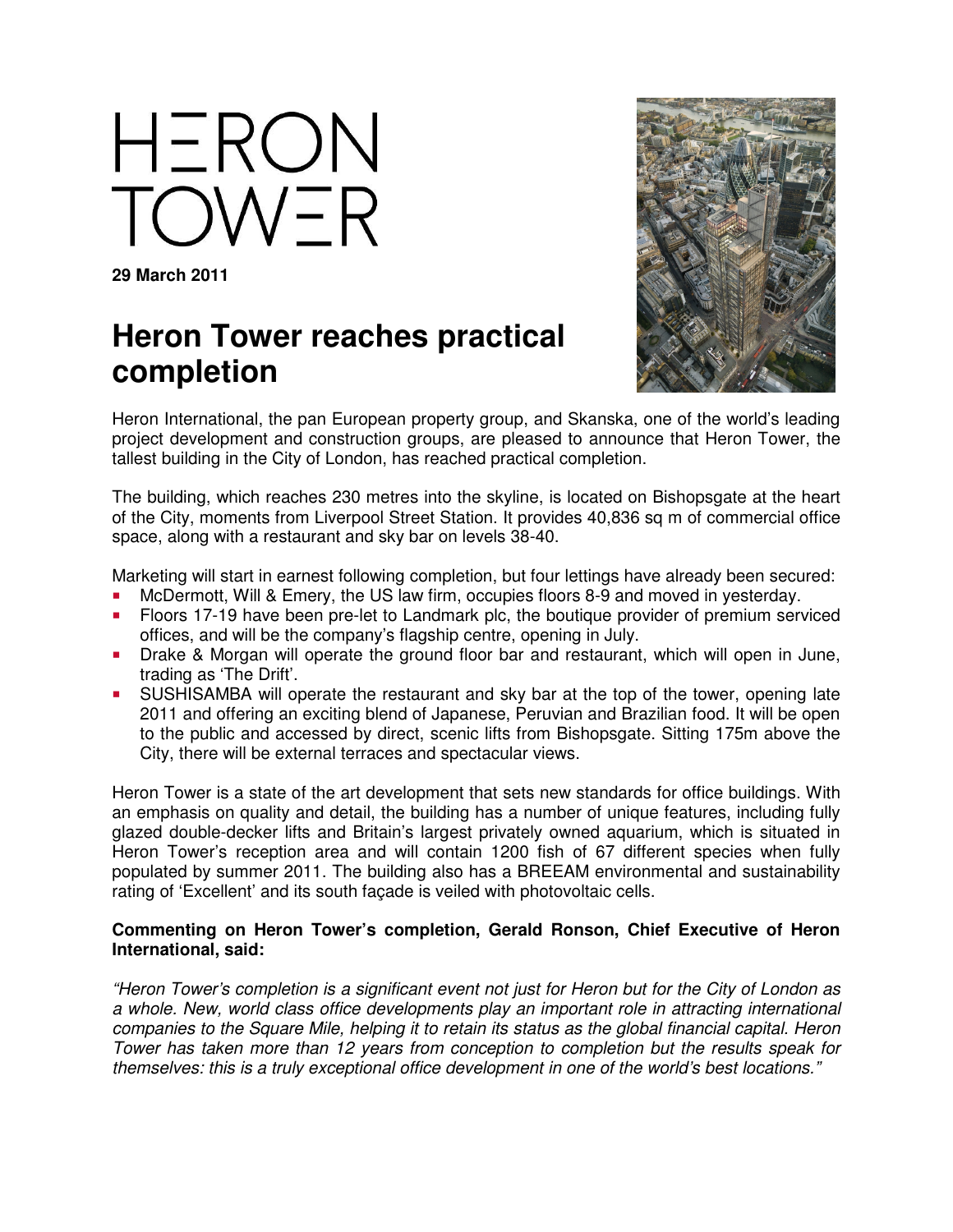HERON OWER

**29 March 2011** 

## **Heron Tower reaches practical completion**



Heron International, the pan European property group, and Skanska, one of the world's leading project development and construction groups, are pleased to announce that Heron Tower, the tallest building in the City of London, has reached practical completion.

The building, which reaches 230 metres into the skyline, is located on Bishopsgate at the heart of the City, moments from Liverpool Street Station. It provides 40,836 sq m of commercial office space, along with a restaurant and sky bar on levels 38-40.

Marketing will start in earnest following completion, but four lettings have already been secured:

- McDermott, Will & Emery, the US law firm, occupies floors 8-9 and moved in yesterday.
- **Floors 17-19 have been pre-let to Landmark plc, the boutique provider of premium serviced** offices, and will be the company's flagship centre, opening in July.
- **Drake & Morgan will operate the ground floor bar and restaurant, which will open in June,** trading as 'The Drift'.
- SUSHISAMBA will operate the restaurant and sky bar at the top of the tower, opening late 2011 and offering an exciting blend of Japanese, Peruvian and Brazilian food. It will be open to the public and accessed by direct, scenic lifts from Bishopsgate. Sitting 175m above the City, there will be external terraces and spectacular views.

Heron Tower is a state of the art development that sets new standards for office buildings. With an emphasis on quality and detail, the building has a number of unique features, including fully glazed double-decker lifts and Britain's largest privately owned aquarium, which is situated in Heron Tower's reception area and will contain 1200 fish of 67 different species when fully populated by summer 2011. The building also has a BREEAM environmental and sustainability rating of 'Excellent' and its south façade is veiled with photovoltaic cells.

## **Commenting on Heron Tower's completion, Gerald Ronson, Chief Executive of Heron International, said:**

"Heron Tower's completion is a significant event not just for Heron but for the City of London as a whole. New, world class office developments play an important role in attracting international companies to the Square Mile, helping it to retain its status as the global financial capital. Heron Tower has taken more than 12 years from conception to completion but the results speak for themselves: this is a truly exceptional office development in one of the world's best locations."